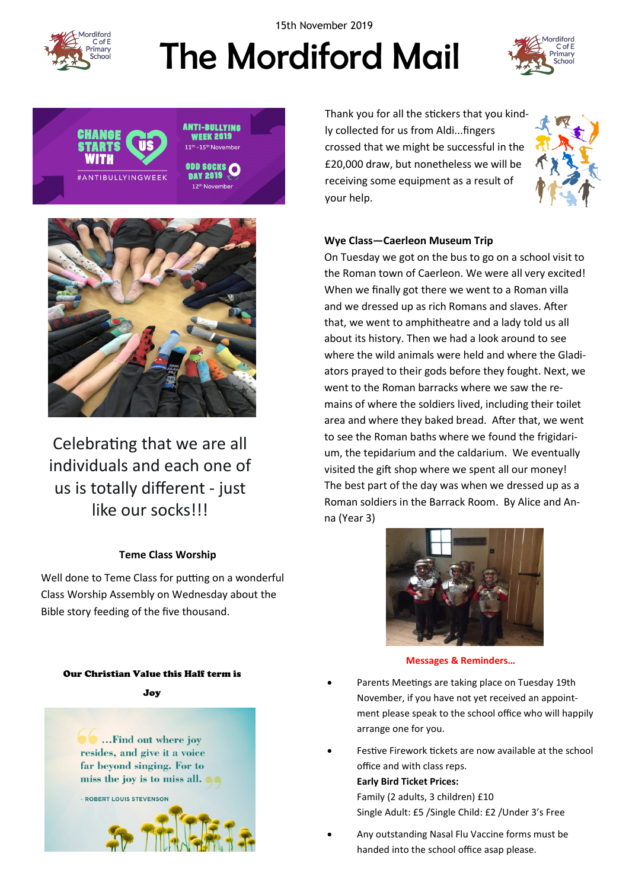

15th November 2019

# The Mordiford Mail







Celebrating that we are all individuals and each one of us is totally different - just like our socks!!!

# **Teme Class Worship**

Well done to Teme Class for putting on a wonderful Class Worship Assembly on Wednesday about the Bible story feeding of the five thousand.

#### Our Christian Value this Half term is

Joy



Thank you for all the stickers that you kindly collected for us from Aldi...fingers crossed that we might be successful in the £20,000 draw, but nonetheless we will be receiving some equipment as a result of your help.



# **Wye Class—Caerleon Museum Trip**

On Tuesday we got on the bus to go on a school visit to the Roman town of Caerleon. We were all very excited! When we finally got there we went to a Roman villa and we dressed up as rich Romans and slaves. After that, we went to amphitheatre and a lady told us all about its history. Then we had a look around to see where the wild animals were held and where the Gladiators prayed to their gods before they fought. Next, we went to the Roman barracks where we saw the remains of where the soldiers lived, including their toilet area and where they baked bread. After that, we went to see the Roman baths where we found the frigidarium, the tepidarium and the caldarium. We eventually visited the gift shop where we spent all our money! The best part of the day was when we dressed up as a Roman soldiers in the Barrack Room. By Alice and Anna (Year 3)



#### **Messages & Reminders…**

- Parents Meetings are taking place on Tuesday 19th November, if you have not yet received an appointment please speak to the school office who will happily arrange one for you.
- Festive Firework tickets are now available at the school office and with class reps. **Early Bird Ticket Prices:**  Family (2 adults, 3 children) £10
	- Single Adult: £5 /Single Child: £2 /Under 3's Free
- Any outstanding Nasal Flu Vaccine forms must be handed into the school office asap please.